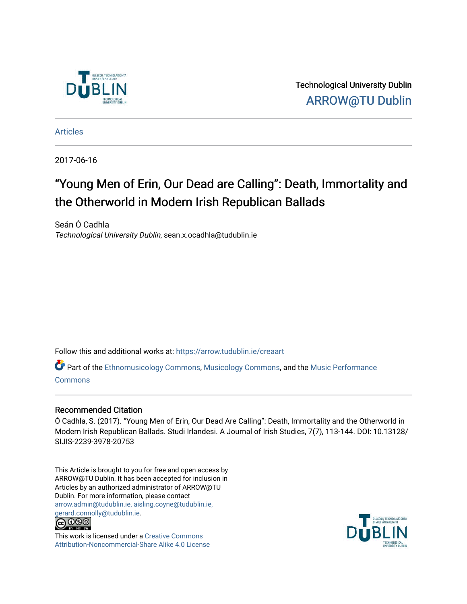

Technological University Dublin [ARROW@TU Dublin](https://arrow.tudublin.ie/) 

[Articles](https://arrow.tudublin.ie/creaart)

2017-06-16

# "Young Men of Erin, Our Dead are Calling": Death, Immortality and the Otherworld in Modern Irish Republican Ballads

Seán Ó Cadhla Technological University Dublin, sean.x.ocadhla@tudublin.ie

Follow this and additional works at: [https://arrow.tudublin.ie/creaart](https://arrow.tudublin.ie/creaart?utm_source=arrow.tudublin.ie%2Fcreaart%2F74&utm_medium=PDF&utm_campaign=PDFCoverPages) 

Part of the [Ethnomusicology Commons,](https://network.bepress.com/hgg/discipline/520?utm_source=arrow.tudublin.ie%2Fcreaart%2F74&utm_medium=PDF&utm_campaign=PDFCoverPages) [Musicology Commons](https://network.bepress.com/hgg/discipline/521?utm_source=arrow.tudublin.ie%2Fcreaart%2F74&utm_medium=PDF&utm_campaign=PDFCoverPages), and the [Music Performance](https://network.bepress.com/hgg/discipline/1128?utm_source=arrow.tudublin.ie%2Fcreaart%2F74&utm_medium=PDF&utm_campaign=PDFCoverPages) **[Commons](https://network.bepress.com/hgg/discipline/1128?utm_source=arrow.tudublin.ie%2Fcreaart%2F74&utm_medium=PDF&utm_campaign=PDFCoverPages)** 

## Recommended Citation

Ó Cadhla, S. (2017). "Young Men of Erin, Our Dead Are Calling": Death, Immortality and the Otherworld in Modern Irish Republican Ballads. Studi Irlandesi. A Journal of Irish Studies, 7(7), 113-144. DOI: 10.13128/ SIJIS-2239-3978-20753

This Article is brought to you for free and open access by ARROW@TU Dublin. It has been accepted for inclusion in Articles by an authorized administrator of ARROW@TU Dublin. For more information, please contact [arrow.admin@tudublin.ie, aisling.coyne@tudublin.ie,](mailto:arrow.admin@tudublin.ie,%20aisling.coyne@tudublin.ie,%20gerard.connolly@tudublin.ie)  [gerard.connolly@tudublin.ie](mailto:arrow.admin@tudublin.ie,%20aisling.coyne@tudublin.ie,%20gerard.connolly@tudublin.ie).<br>@000



This work is licensed under a [Creative Commons](http://creativecommons.org/licenses/by-nc-sa/4.0/) [Attribution-Noncommercial-Share Alike 4.0 License](http://creativecommons.org/licenses/by-nc-sa/4.0/)

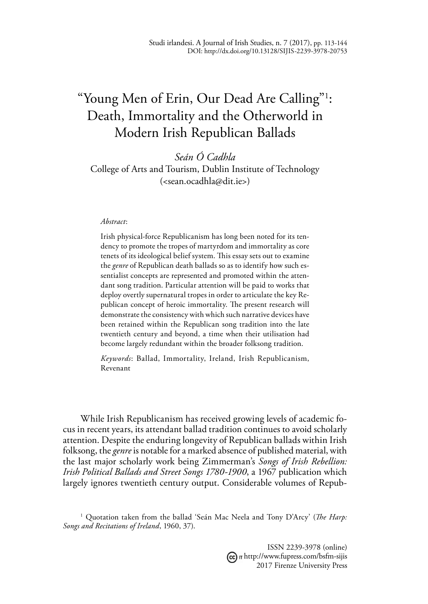## "Young Men of Erin, Our Dead Are Calling"1 : Death, Immortality and the Otherworld in Modern Irish Republican Ballads

*Seán Ó Cadhla* College of Arts and Tourism, Dublin Institute of Technology (<sean.ocadhla@dit.ie>)

#### *Abstract*:

Irish physical-force Republicanism has long been noted for its tendency to promote the tropes of martyrdom and immortality as core tenets of its ideological belief system. This essay sets out to examine the *genre* of Republican death ballads so as to identify how such essentialist concepts are represented and promoted within the attendant song tradition. Particular attention will be paid to works that deploy overtly supernatural tropes in order to articulate the key Republican concept of heroic immortality. The present research will demonstrate the consistency with which such narrative devices have been retained within the Republican song tradition into the late twentieth century and beyond, a time when their utilisation had become largely redundant within the broader folksong tradition.

*Keywords*: Ballad, Immortality, Ireland, Irish Republicanism, Revenant

While Irish Republicanism has received growing levels of academic focus in recent years, its attendant ballad tradition continues to avoid scholarly attention. Despite the enduring longevity of Republican ballads within Irish folksong, the *genre* is notable for a marked absence of published material, with the last major scholarly work being Zimmerman's *Songs of Irish Rebellion: Irish Political Ballads and Street Songs 1780-1900*, a 1967 publication which largely ignores twentieth century output. Considerable volumes of Repub-

<sup>1</sup> Quotation taken from the ballad 'Seán Mac Neela and Tony D'Arcy' (*The Harp: Songs and Recitations of Ireland*, 1960, 37).

> ISSN 2239-3978 (online) http://www.fupress.com/bsfm-sijis 2017 Firenze University Press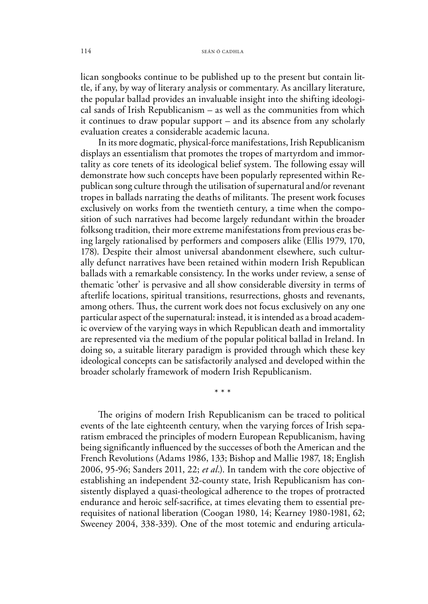lican songbooks continue to be published up to the present but contain little, if any, by way of literary analysis or commentary. As ancillary literature, the popular ballad provides an invaluable insight into the shifting ideological sands of Irish Republicanism – as well as the communities from which it continues to draw popular support – and its absence from any scholarly evaluation creates a considerable academic lacuna.

In its more dogmatic, physical-force manifestations, Irish Republicanism displays an essentialism that promotes the tropes of martyrdom and immortality as core tenets of its ideological belief system. The following essay will demonstrate how such concepts have been popularly represented within Republican song culture through the utilisation of supernatural and/or revenant tropes in ballads narrating the deaths of militants. The present work focuses exclusively on works from the twentieth century, a time when the composition of such narratives had become largely redundant within the broader folksong tradition, their more extreme manifestations from previous eras being largely rationalised by performers and composers alike (Ellis 1979, 170, 178). Despite their almost universal abandonment elsewhere, such culturally defunct narratives have been retained within modern Irish Republican ballads with a remarkable consistency. In the works under review, a sense of thematic 'other' is pervasive and all show considerable diversity in terms of afterlife locations, spiritual transitions, resurrections, ghosts and revenants, among others. Thus, the current work does not focus exclusively on any one particular aspect of the supernatural: instead, it is intended as a broad academic overview of the varying ways in which Republican death and immortality are represented via the medium of the popular political ballad in Ireland. In doing so, a suitable literary paradigm is provided through which these key ideological concepts can be satisfactorily analysed and developed within the broader scholarly framework of modern Irish Republicanism.

The origins of modern Irish Republicanism can be traced to political events of the late eighteenth century, when the varying forces of Irish separatism embraced the principles of modern European Republicanism, having being significantly influenced by the successes of both the American and the French Revolutions (Adams 1986, 133; Bishop and Mallie 1987, 18; English 2006, 95-96; Sanders 2011, 22; *et al*.). In tandem with the core objective of establishing an independent 32-county state, Irish Republicanism has consistently displayed a quasi-theological adherence to the tropes of protracted endurance and heroic self-sacrifice, at times elevating them to essential prerequisites of national liberation (Coogan 1980, 14; Kearney 1980-1981, 62; Sweeney 2004, 338-339). One of the most totemic and enduring articula-

\* \* \*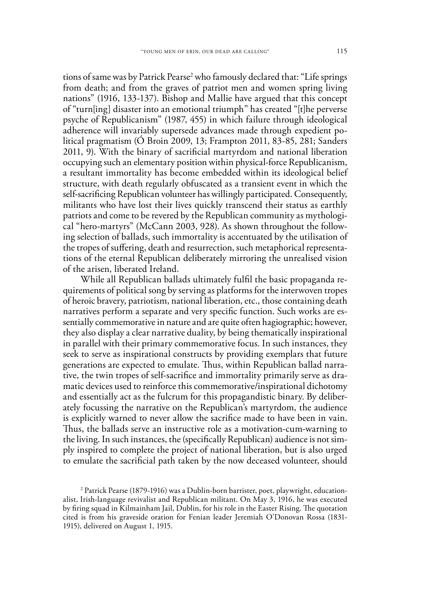tions of same was by Patrick Pearse<sup>2</sup> who famously declared that: "Life springs from death; and from the graves of patriot men and women spring living nations" (1916, 133-137). Bishop and Mallie have argued that this concept of "turn[ing] disaster into an emotional triumph" has created "[t]he perverse psyche of Republicanism" (1987, 455) in which failure through ideological adherence will invariably supersede advances made through expedient political pragmatism (Ó Broin 2009, 13; Frampton 2011, 83-85, 281; Sanders 2011, 9). With the binary of sacrificial martyrdom and national liberation occupying such an elementary position within physical-force Republicanism, a resultant immortality has become embedded within its ideological belief structure, with death regularly obfuscated as a transient event in which the self-sacrificing Republican volunteer has willingly participated. Consequently, militants who have lost their lives quickly transcend their status as earthly patriots and come to be revered by the Republican community as mythological "hero-martyrs" (McCann 2003, 928). As shown throughout the following selection of ballads, such immortality is accentuated by the utilisation of the tropes of suffering, death and resurrection, such metaphorical representations of the eternal Republican deliberately mirroring the unrealised vision of the arisen, liberated Ireland.

While all Republican ballads ultimately fulfil the basic propaganda requirements of political song by serving as platforms for the interwoven tropes of heroic bravery, patriotism, national liberation, etc., those containing death narratives perform a separate and very specific function. Such works are essentially commemorative in nature and are quite often hagiographic; however, they also display a clear narrative duality, by being thematically inspirational in parallel with their primary commemorative focus. In such instances, they seek to serve as inspirational constructs by providing exemplars that future generations are expected to emulate. Thus, within Republican ballad narrative, the twin tropes of self-sacrifice and immortality primarily serve as dramatic devices used to reinforce this commemorative/inspirational dichotomy and essentially act as the fulcrum for this propagandistic binary. By deliberately focussing the narrative on the Republican's martyrdom, the audience is explicitly warned to never allow the sacrifice made to have been in vain. Thus, the ballads serve an instructive role as a motivation-cum-warning to the living. In such instances, the (specifically Republican) audience is not simply inspired to complete the project of national liberation, but is also urged to emulate the sacrificial path taken by the now deceased volunteer, should

<sup>2</sup> Patrick Pearse (1879-1916) was a Dublin-born barrister, poet, playwright, educationalist, Irish-language revivalist and Republican militant. On May 3, 1916, he was executed by firing squad in Kilmainham Jail, Dublin, for his role in the Easter Rising. The quotation cited is from his graveside oration for Fenian leader Jeremiah O'Donovan Rossa (1831- 1915), delivered on August 1, 1915.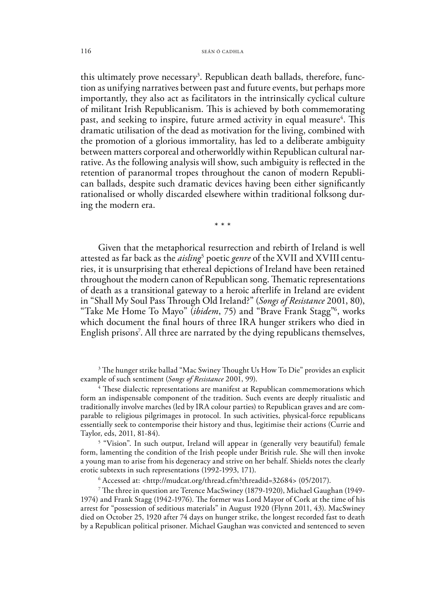this ultimately prove necessary<sup>3</sup>. Republican death ballads, therefore, function as unifying narratives between past and future events, but perhaps more importantly, they also act as facilitators in the intrinsically cyclical culture of militant Irish Republicanism. This is achieved by both commemorating past, and seeking to inspire, future armed activity in equal measure<sup>4</sup>. This dramatic utilisation of the dead as motivation for the living, combined with the promotion of a glorious immortality, has led to a deliberate ambiguity between matters corporeal and otherworldly within Republican cultural narrative. As the following analysis will show, such ambiguity is reflected in the retention of paranormal tropes throughout the canon of modern Republican ballads, despite such dramatic devices having been either significantly rationalised or wholly discarded elsewhere within traditional folksong during the modern era.

\* \* \*

Given that the metaphorical resurrection and rebirth of Ireland is well attested as far back as the *aisling*<sup>5</sup> poetic *genre* of the XVII and XVIII centuries, it is unsurprising that ethereal depictions of Ireland have been retained throughout the modern canon of Republican song. Thematic representations of death as a transitional gateway to a heroic afterlife in Ireland are evident in "Shall My Soul Pass Through Old Ireland?" (*Songs of Resistance* 2001, 80), "Take Me Home To Mayo" (*ibidem*, 75) and "Brave Frank Stagg"6 , works which document the final hours of three IRA hunger strikers who died in English prisons7 . All three are narrated by the dying republicans themselves,

3 The hunger strike ballad "Mac Swiney Thought Us How To Die" provides an explicit example of such sentiment (*Songs of Resistance* 2001, 99).

<sup>4</sup> These dialectic representations are manifest at Republican commemorations which form an indispensable component of the tradition. Such events are deeply ritualistic and traditionally involve marches (led by IRA colour parties) to Republican graves and are comparable to religious pilgrimages in protocol. In such activities, physical-force republicans essentially seek to contemporise their history and thus, legitimise their actions (Currie and Taylor, eds, 2011, 81-84). 5

<sup>5</sup> "Vision". In such output, Ireland will appear in (generally very beautiful) female form, lamenting the condition of the Irish people under British rule. She will then invoke a young man to arise from his degeneracy and strive on her behalf. Shields notes the clearly erotic subtexts in such representations (1992-1993, 171).

Accessed at: <http://mudcat.org/thread.cfm?threadid=32684> (05/2017).

7 The three in question are Terence MacSwiney (1879-1920), Michael Gaughan (1949- 1974) and Frank Stagg (1942-1976). The former was Lord Mayor of Cork at the time of his arrest for "possession of seditious materials" in August 1920 (Flynn 2011, 43). MacSwiney died on October 25, 1920 after 74 days on hunger strike, the longest recorded fast to death by a Republican political prisoner. Michael Gaughan was convicted and sentenced to seven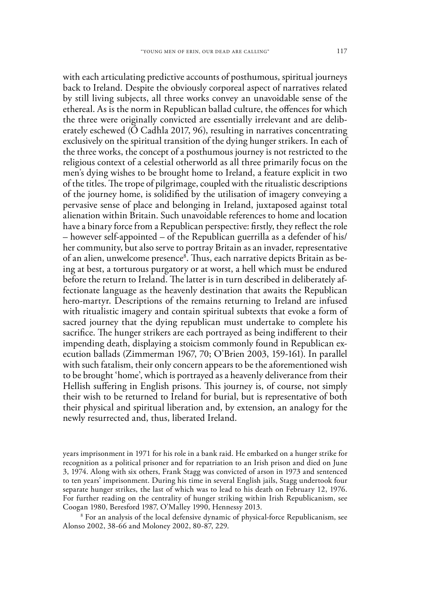with each articulating predictive accounts of posthumous, spiritual journeys back to Ireland. Despite the obviously corporeal aspect of narratives related by still living subjects, all three works convey an unavoidable sense of the ethereal. As is the norm in Republican ballad culture, the offences for which the three were originally convicted are essentially irrelevant and are deliberately eschewed (Ó Cadhla 2017, 96), resulting in narratives concentrating exclusively on the spiritual transition of the dying hunger strikers. In each of the three works, the concept of a posthumous journey is not restricted to the religious context of a celestial otherworld as all three primarily focus on the men's dying wishes to be brought home to Ireland, a feature explicit in two of the titles. The trope of pilgrimage, coupled with the ritualistic descriptions of the journey home, is solidified by the utilisation of imagery conveying a pervasive sense of place and belonging in Ireland, juxtaposed against total alienation within Britain. Such unavoidable references to home and location have a binary force from a Republican perspective: firstly, they reflect the role – however self-appointed – of the Republican guerrilla as a defender of his/ her community, but also serve to portray Britain as an invader, representative of an alien, unwelcome presence<sup>8</sup>. Thus, each narrative depicts Britain as being at best, a torturous purgatory or at worst, a hell which must be endured before the return to Ireland. The latter is in turn described in deliberately affectionate language as the heavenly destination that awaits the Republican hero-martyr. Descriptions of the remains returning to Ireland are infused with ritualistic imagery and contain spiritual subtexts that evoke a form of sacred journey that the dying republican must undertake to complete his sacrifice. The hunger strikers are each portrayed as being indifferent to their impending death, displaying a stoicism commonly found in Republican execution ballads (Zimmerman 1967, 70; O'Brien 2003, 159-161). In parallel with such fatalism, their only concern appears to be the aforementioned wish to be brought 'home', which is portrayed as a heavenly deliverance from their Hellish suffering in English prisons. This journey is, of course, not simply their wish to be returned to Ireland for burial, but is representative of both their physical and spiritual liberation and, by extension, an analogy for the newly resurrected and, thus, liberated Ireland.

years imprisonment in 1971 for his role in a bank raid. He embarked on a hunger strike for recognition as a political prisoner and for repatriation to an Irish prison and died on June 3, 1974. Along with six others, Frank Stagg was convicted of arson in 1973 and sentenced to ten years' imprisonment. During his time in several English jails, Stagg undertook four separate hunger strikes, the last of which was to lead to his death on February 12, 1976. For further reading on the centrality of hunger striking within Irish Republicanism, see Coogan 1980, Beresford 1987, O'Malley 1990, Hennessy 2013.

<sup>8</sup> For an analysis of the local defensive dynamic of physical-force Republicanism, see Alonso 2002, 38-66 and Moloney 2002, 80-87, 229.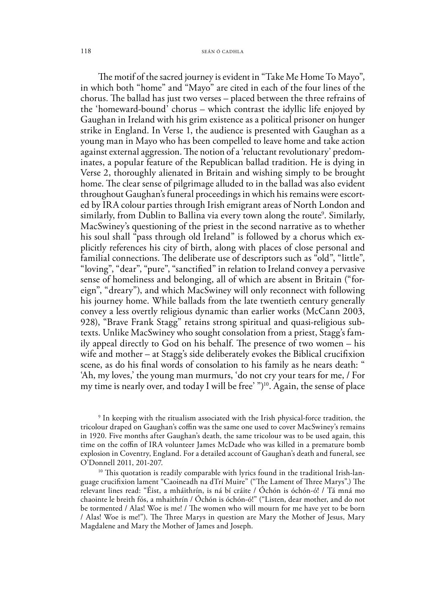The motif of the sacred journey is evident in "Take Me Home To Mayo", in which both "home" and "Mayo" are cited in each of the four lines of the chorus. The ballad has just two verses – placed between the three refrains of the 'homeward-bound' chorus – which contrast the idyllic life enjoyed by Gaughan in Ireland with his grim existence as a political prisoner on hunger strike in England. In Verse 1, the audience is presented with Gaughan as a young man in Mayo who has been compelled to leave home and take action against external aggression. The notion of a 'reluctant revolutionary' predominates, a popular feature of the Republican ballad tradition. He is dying in Verse 2, thoroughly alienated in Britain and wishing simply to be brought home. The clear sense of pilgrimage alluded to in the ballad was also evident throughout Gaughan's funeral proceedings in which his remains were escorted by IRA colour parties through Irish emigrant areas of North London and similarly, from Dublin to Ballina via every town along the route<sup>9</sup>. Similarly, MacSwiney's questioning of the priest in the second narrative as to whether his soul shall "pass through old Ireland" is followed by a chorus which explicitly references his city of birth, along with places of close personal and familial connections. The deliberate use of descriptors such as "old", "little", "loving", "dear", "pure", "sanctified" in relation to Ireland convey a pervasive sense of homeliness and belonging, all of which are absent in Britain ("foreign", "dreary"), and which MacSwiney will only reconnect with following his journey home. While ballads from the late twentieth century generally convey a less overtly religious dynamic than earlier works (McCann 2003, 928), "Brave Frank Stagg" retains strong spiritual and quasi-religious subtexts. Unlike MacSwiney who sought consolation from a priest, Stagg's family appeal directly to God on his behalf. The presence of two women – his wife and mother – at Stagg's side deliberately evokes the Biblical crucifixion scene, as do his final words of consolation to his family as he nears death: " 'Ah, my loves,' the young man murmurs, 'do not cry your tears for me, / For my time is nearly over, and today I will be free' ")10. Again, the sense of place

9 In keeping with the ritualism associated with the Irish physical-force tradition, the tricolour draped on Gaughan's coffin was the same one used to cover MacSwiney's remains in 1920. Five months after Gaughan's death, the same tricolour was to be used again, this time on the coffin of IRA volunteer James McDade who was killed in a premature bomb explosion in Coventry, England. For a detailed account of Gaughan's death and funeral, see O'Donnell 2011, 201-207.

<sup>10</sup> This quotation is readily comparable with lyrics found in the traditional Irish-language crucifixion lament "Caoineadh na dTrí Muire" ("The Lament of Three Marys".) The relevant lines read: "Éist, a mháithrín, is ná bí cráite / Óchón is óchón-ó! / Tá mná mo chaointe le breith fós, a mhaithrín / Óchón is óchón-ó!" ("Listen, dear mother, and do not be tormented / Alas! Woe is me! / The women who will mourn for me have yet to be born / Alas! Woe is me!"). The Three Marys in question are Mary the Mother of Jesus, Mary Magdalene and Mary the Mother of James and Joseph.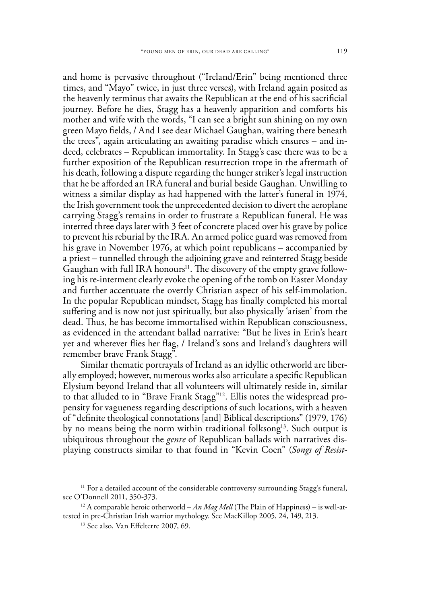and home is pervasive throughout ("Ireland/Erin" being mentioned three times, and "Mayo" twice, in just three verses), with Ireland again posited as the heavenly terminus that awaits the Republican at the end of his sacrificial journey. Before he dies, Stagg has a heavenly apparition and comforts his mother and wife with the words, "I can see a bright sun shining on my own green Mayo fields, / And I see dear Michael Gaughan, waiting there beneath the trees", again articulating an awaiting paradise which ensures – and indeed, celebrates – Republican immortality. In Stagg's case there was to be a further exposition of the Republican resurrection trope in the aftermath of his death, following a dispute regarding the hunger striker's legal instruction that he be afforded an IRA funeral and burial beside Gaughan. Unwilling to witness a similar display as had happened with the latter's funeral in 1974, the Irish government took the unprecedented decision to divert the aeroplane carrying Stagg's remains in order to frustrate a Republican funeral. He was interred three days later with 3 feet of concrete placed over his grave by police to prevent his reburial by the IRA. An armed police guard was removed from his grave in November 1976, at which point republicans – accompanied by a priest – tunnelled through the adjoining grave and reinterred Stagg beside Gaughan with full IRA honours $11$ . The discovery of the empty grave following his re-interment clearly evoke the opening of the tomb on Easter Monday and further accentuate the overtly Christian aspect of his self-immolation. In the popular Republican mindset, Stagg has finally completed his mortal suffering and is now not just spiritually, but also physically 'arisen' from the dead. Thus, he has become immortalised within Republican consciousness, as evidenced in the attendant ballad narrative: "But he lives in Erin's heart yet and wherever flies her flag, / Ireland's sons and Ireland's daughters will remember brave Frank Stagg".

Similar thematic portrayals of Ireland as an idyllic otherworld are liberally employed; however, numerous works also articulate a specific Republican Elysium beyond Ireland that all volunteers will ultimately reside in, similar to that alluded to in "Brave Frank Stagg"12. Ellis notes the widespread propensity for vagueness regarding descriptions of such locations, with a heaven of "definite theological connotations [and] Biblical descriptions" (1979, 176) by no means being the norm within traditional folksong<sup>13</sup>. Such output is ubiquitous throughout the *genre* of Republican ballads with narratives displaying constructs similar to that found in "Kevin Coen" (*Songs of Resist-*

<sup>&</sup>lt;sup>11</sup> For a detailed account of the considerable controversy surrounding Stagg's funeral, see O'Donnell 2011, 350-373.

<sup>&</sup>lt;sup>12</sup> A comparable heroic otherworld – *An Mag Mell* (The Plain of Happiness) – is well-attested in pre-Christian Irish warrior mythology. See MacKillop 2005, 24, 149, 213.

<sup>&</sup>lt;sup>13</sup> See also, Van Effelterre 2007, 69.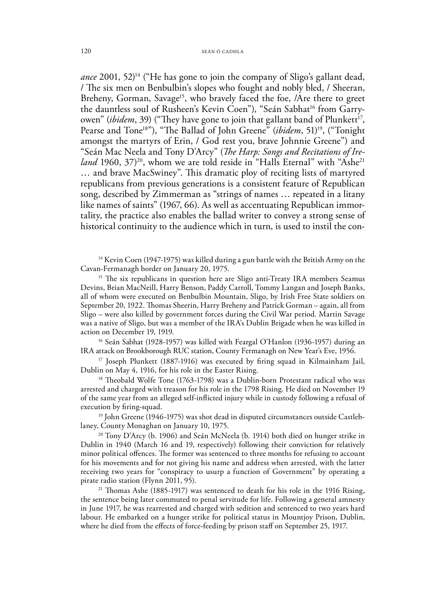*ance* 2001, 52<sup>14</sup> ("He has gone to join the company of Sligo's gallant dead, / The six men on Benbulbin's slopes who fought and nobly bled, / Sheeran, Breheny, Gorman, Savage<sup>15</sup>, who bravely faced the foe, *Are there to greet* the dauntless soul of Rusheen's Kevin Coen"), "Seán Sabhat<sup>16</sup> from Garryowen" *(ibidem, 39)* ("They have gone to join that gallant band of Plunkett<sup>17</sup>, Pearse and Tone<sup>18"</sup>), "The Ballad of John Greene" (*ibidem*, 51)<sup>19</sup>, ("Tonight amongst the martyrs of Erin, / God rest you, brave Johnnie Greene") and "Seán Mac Neela and Tony D'Arcy" (*The Harp: Songs and Recitations of Ireland* 1960,  $37$ <sup>20</sup>, whom we are told reside in "Halls Eternal" with "Ashe<sup>21</sup> … and brave MacSwiney". This dramatic ploy of reciting lists of martyred republicans from previous generations is a consistent feature of Republican song, described by Zimmerman as "strings of names … repeated in a litany like names of saints" (1967, 66). As well as accentuating Republican immortality, the practice also enables the ballad writer to convey a strong sense of historical continuity to the audience which in turn, is used to instil the con-

<sup>14</sup> Kevin Coen (1947-1975) was killed during a gun battle with the British Army on the Cavan-Fermanagh border on January 20, 1975.

<sup>15</sup> The six republicans in question here are Sligo anti-Treaty IRA members Seamus Devins, Brian MacNeill, Harry Benson, Paddy Carroll, Tommy Langan and Joseph Banks, all of whom were executed on Benbulbin Mountain, Sligo, by Irish Free State soldiers on September 20, 1922. Thomas Sheerin, Harry Breheny and Patrick Gorman – again, all from Sligo – were also killed by government forces during the Civil War period. Martin Savage was a native of Sligo, but was a member of the IRA's Dublin Brigade when he was killed in action on December 19, 1919.

<sup>16</sup> Seán Sabhat (1928-1957) was killed with Feargal O'Hanlon (1936-1957) during an IRA attack on Brookborough RUC station, County Fermanagh on New Year's Eve, 1956.

<sup>17</sup> Joseph Plunkett (1887-1916) was executed by firing squad in Kilmainham Jail, Dublin on May 4, 1916, for his role in the Easter Rising.

<sup>18</sup> Theobald Wolfe Tone (1763-1798) was a Dublin-born Protestant radical who was arrested and charged with treason for his role in the 1798 Rising. He died on November 19 of the same year from an alleged self-inflicted injury while in custody following a refusal of

<sup>19</sup> John Greene (1946-1975) was shot dead in disputed circumstances outside Castleblaney, County Monaghan on January 10, 1975. 20 Tony D'Arcy (b. 1906) and Seán McNeela (b. 1914) both died on hunger strike in

Dublin in 1940 (March 16 and 19, respectively) following their conviction for relatively minor political offences. The former was sentenced to three months for refusing to account for his movements and for not giving his name and address when arrested, with the latter receiving two years for "conspiracy to usurp a function of Government" by operating a pirate radio station (Flynn 2011, 95).

<sup>21</sup> Thomas Ashe (1885-1917) was sentenced to death for his role in the 1916 Rising, the sentence being later commuted to penal servitude for life. Following a general amnesty in June 1917, he was rearrested and charged with sedition and sentenced to two years hard labour. He embarked on a hunger strike for political status in Mountjoy Prison, Dublin, where he died from the effects of force-feeding by prison staff on September 25, 1917.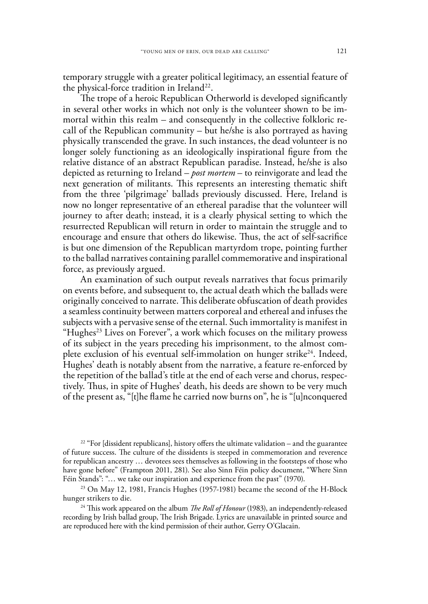temporary struggle with a greater political legitimacy, an essential feature of the physical-force tradition in Ireland<sup>22</sup>.

The trope of a heroic Republican Otherworld is developed significantly in several other works in which not only is the volunteer shown to be immortal within this realm – and consequently in the collective folkloric recall of the Republican community – but he/she is also portrayed as having physically transcended the grave. In such instances, the dead volunteer is no longer solely functioning as an ideologically inspirational figure from the relative distance of an abstract Republican paradise. Instead, he/she is also depicted as returning to Ireland – *post mortem* – to reinvigorate and lead the next generation of militants. This represents an interesting thematic shift from the three 'pilgrimage' ballads previously discussed. Here, Ireland is now no longer representative of an ethereal paradise that the volunteer will journey to after death; instead, it is a clearly physical setting to which the resurrected Republican will return in order to maintain the struggle and to encourage and ensure that others do likewise. Thus, the act of self-sacrifice is but one dimension of the Republican martyrdom trope, pointing further to the ballad narratives containing parallel commemorative and inspirational force, as previously argued.

An examination of such output reveals narratives that focus primarily on events before, and subsequent to, the actual death which the ballads were originally conceived to narrate. This deliberate obfuscation of death provides a seamless continuity between matters corporeal and ethereal and infuses the subjects with a pervasive sense of the eternal. Such immortality is manifest in "Hughes<sup>23</sup> Lives on Forever", a work which focuses on the military prowess of its subject in the years preceding his imprisonment, to the almost complete exclusion of his eventual self-immolation on hunger strike<sup>24</sup>. Indeed, Hughes' death is notably absent from the narrative, a feature re-enforced by the repetition of the ballad's title at the end of each verse and chorus, respectively. Thus, in spite of Hughes' death, his deeds are shown to be very much of the present as, "[t]he flame he carried now burns on", he is "[u]nconquered

 $22$  "For [dissident republicans], history offers the ultimate validation – and the guarantee of future success. The culture of the dissidents is steeped in commemoration and reverence for republican ancestry … devotees sees themselves as following in the footsteps of those who have gone before" (Frampton 2011, 281). See also Sinn Féin policy document, "Where Sinn Féin Stands": "... we take our inspiration and experience from the past" (1970).

<sup>23</sup> On May 12, 1981, Francis Hughes (1957-1981) became the second of the H-Block

hunger strikers to die. 24 This work appeared on the album *The Roll of Honour* (1983), an independently-released recording by Irish ballad group, The Irish Brigade. Lyrics are unavailable in printed source and are reproduced here with the kind permission of their author, Gerry O'Glacain.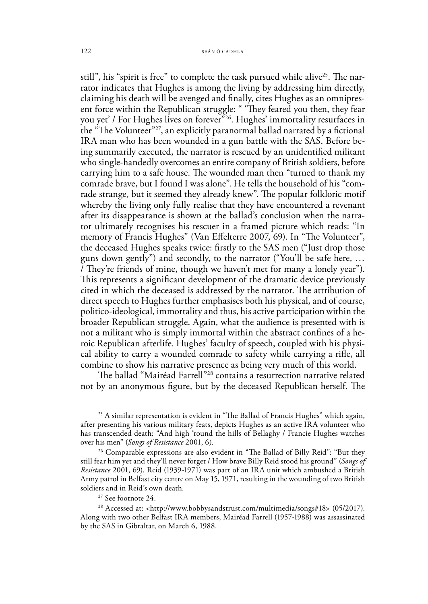still", his "spirit is free" to complete the task pursued while alive<sup>25</sup>. The narrator indicates that Hughes is among the living by addressing him directly, claiming his death will be avenged and finally, cites Hughes as an omnipresent force within the Republican struggle: " 'They feared you then, they fear you yet' / For Hughes lives on forever"<sup>26</sup>. Hughes' immortality resurfaces in the "The Volunteer"27, an explicitly paranormal ballad narrated by a fictional IRA man who has been wounded in a gun battle with the SAS. Before being summarily executed, the narrator is rescued by an unidentified militant who single-handedly overcomes an entire company of British soldiers, before carrying him to a safe house. The wounded man then "turned to thank my comrade brave, but I found I was alone". He tells the household of his "comrade strange, but it seemed they already knew". The popular folkloric motif whereby the living only fully realise that they have encountered a revenant after its disappearance is shown at the ballad's conclusion when the narrator ultimately recognises his rescuer in a framed picture which reads: "In memory of Francis Hughes" (Van Effelterre 2007, 69). In "The Volunteer", the deceased Hughes speaks twice: firstly to the SAS men ("Just drop those guns down gently") and secondly, to the narrator ("You'll be safe here, … / They're friends of mine, though we haven't met for many a lonely year"). This represents a significant development of the dramatic device previously cited in which the deceased is addressed by the narrator. The attribution of direct speech to Hughes further emphasises both his physical, and of course, politico-ideological, immortality and thus, his active participation within the broader Republican struggle. Again, what the audience is presented with is not a militant who is simply immortal within the abstract confines of a heroic Republican afterlife. Hughes' faculty of speech, coupled with his physical ability to carry a wounded comrade to safety while carrying a rifle, all combine to show his narrative presence as being very much of this world.

The ballad "Mairéad Farrell"28 contains a resurrection narrative related not by an anonymous figure, but by the deceased Republican herself. The

<sup>25</sup> A similar representation is evident in "The Ballad of Francis Hughes" which again, after presenting his various military feats, depicts Hughes as an active IRA volunteer who has transcended death: "And high 'round the hills of Bellaghy / Francie Hughes watches over his men" (*Songs of Resistance* 2001, 6).

<sup>26</sup> Comparable expressions are also evident in "The Ballad of Billy Reid": "But they still fear him yet and they'll never forget / How brave Billy Reid stood his ground" (*Songs of Resistance* 2001, 69). Reid (1939-1971) was part of an IRA unit which ambushed a British Army patrol in Belfast city centre on May 15, 1971, resulting in the wounding of two British soldiers and in Reid's own death*.*

27 See footnote 24.

<sup>28</sup> Accessed at: <http://www.bobbysandstrust.com/multimedia/songs#18> (05/2017). Along with two other Belfast IRA members, Mairéad Farrell (1957-1988) was assassinated by the SAS in Gibraltar, on March 6, 1988.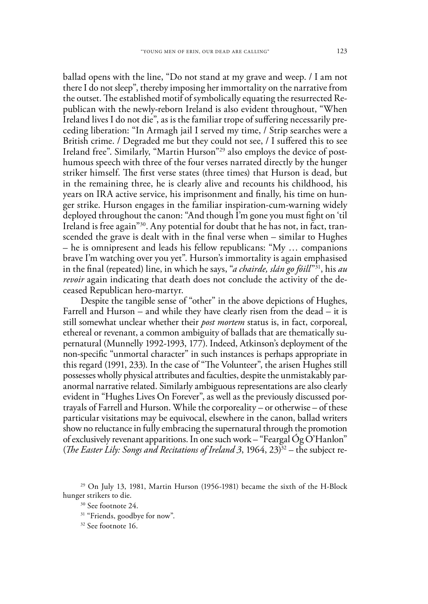ballad opens with the line, "Do not stand at my grave and weep. / I am not there I do not sleep", thereby imposing her immortality on the narrative from the outset. The established motif of symbolically equating the resurrected Republican with the newly-reborn Ireland is also evident throughout, "When Ireland lives I do not die", as is the familiar trope of suffering necessarily preceding liberation: "In Armagh jail I served my time, / Strip searches were a British crime. / Degraded me but they could not see, / I suffered this to see Ireland free". Similarly, "Martin Hurson"29 also employs the device of posthumous speech with three of the four verses narrated directly by the hunger striker himself. The first verse states (three times) that Hurson is dead, but in the remaining three, he is clearly alive and recounts his childhood, his years on IRA active service, his imprisonment and finally, his time on hunger strike. Hurson engages in the familiar inspiration-cum-warning widely deployed throughout the canon: "And though I'm gone you must fight on 'til Ireland is free again"30. Any potential for doubt that he has not, in fact, transcended the grave is dealt with in the final verse when – similar to Hughes – he is omnipresent and leads his fellow republicans: "My … companions brave I'm watching over you yet". Hurson's immortality is again emphasised in the final (repeated) line, in which he says, "*a chairde, slán go fóill*"31, his *au revoir* again indicating that death does not conclude the activity of the deceased Republican hero-martyr.

Despite the tangible sense of "other" in the above depictions of Hughes, Farrell and Hurson – and while they have clearly risen from the dead – it is still somewhat unclear whether their *post mortem* status is, in fact, corporeal, ethereal or revenant, a common ambiguity of ballads that are thematically supernatural (Munnelly 1992-1993, 177). Indeed, Atkinson's deployment of the non-specific "unmortal character" in such instances is perhaps appropriate in this regard (1991, 233). In the case of "The Volunteer", the arisen Hughes still possesses wholly physical attributes and faculties, despite the unmistakably paranormal narrative related. Similarly ambiguous representations are also clearly evident in "Hughes Lives On Forever", as well as the previously discussed portrayals of Farrell and Hurson. While the corporeality – or otherwise – of these particular visitations may be equivocal, elsewhere in the canon, ballad writers show no reluctance in fully embracing the supernatural through the promotion of exclusively revenant apparitions. In one such work – "Feargal Óg O'Hanlon" (*The Easter Lily: Songs and Recitations of Ireland 3*, 1964, 23)32 – the subject re-

<sup>29</sup> On July 13, 1981, Martin Hurson (1956-1981) became the sixth of the H-Block hunger strikers to die.

<sup>&</sup>lt;sup>30</sup> See footnote 24.

<sup>&</sup>lt;sup>31</sup> "Friends, goodbye for now".

<sup>&</sup>lt;sup>32</sup> See footnote 16.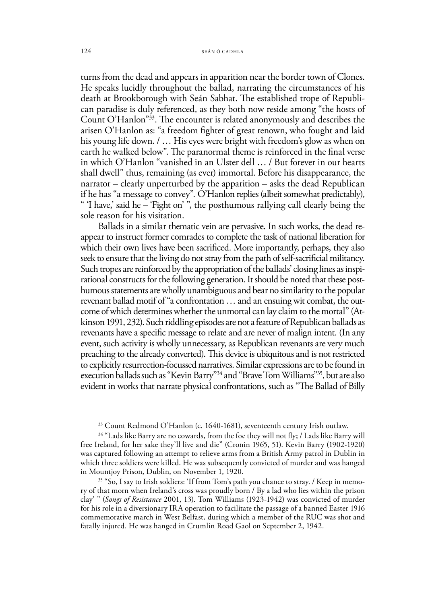turns from the dead and appears in apparition near the border town of Clones. He speaks lucidly throughout the ballad, narrating the circumstances of his death at Brookborough with Seán Sabhat. The established trope of Republican paradise is duly referenced, as they both now reside among "the hosts of Count O'Hanlon"33. The encounter is related anonymously and describes the arisen O'Hanlon as: "a freedom fighter of great renown, who fought and laid his young life down. / … His eyes were bright with freedom's glow as when on earth he walked below". The paranormal theme is reinforced in the final verse in which O'Hanlon "vanished in an Ulster dell … / But forever in our hearts shall dwell" thus, remaining (as ever) immortal. Before his disappearance, the narrator – clearly unperturbed by the apparition – asks the dead Republican if he has "a message to convey". O'Hanlon replies (albeit somewhat predictably), " 'I have,' said he – 'Fight on' ", the posthumous rallying call clearly being the sole reason for his visitation.

Ballads in a similar thematic vein are pervasive. In such works, the dead reappear to instruct former comrades to complete the task of national liberation for which their own lives have been sacrificed. More importantly, perhaps, they also seek to ensure that the living do not stray from the path of self-sacrificial militancy. Such tropes are reinforced by the appropriation of the ballads' closing lines as inspirational constructs for the following generation. It should be noted that these posthumous statements are wholly unambiguous and bear no similarity to the popular revenant ballad motif of "a confrontation … and an ensuing wit combat, the outcome of which determines whether the unmortal can lay claim to the mortal" (Atkinson 1991, 232). Such riddling episodes are not a feature of Republican ballads as revenants have a specific message to relate and are never of malign intent. (In any event, such activity is wholly unnecessary, as Republican revenants are very much preaching to the already converted). This device is ubiquitous and is not restricted to explicitly resurrection-focussed narratives. Similar expressions are to be found in execution ballads such as "Kevin Barry"34 and "Brave Tom Williams"35, but are also evident in works that narrate physical confrontations, such as "The Ballad of Billy

<sup>33</sup> Count Redmond O'Hanlon (c. 1640-1681), seventeenth century Irish outlaw.

<sup>34</sup> "Lads like Barry are no cowards, from the foe they will not fly; / Lads like Barry will free Ireland, for her sake they'll live and die" (Cronin 1965, 51). Kevin Barry (1902-1920) was captured following an attempt to relieve arms from a British Army patrol in Dublin in which three soldiers were killed. He was subsequently convicted of murder and was hanged in Mountjoy Prison, Dublin, on November 1, 1920.

35 "So, I say to Irish soldiers: 'If from Tom's path you chance to stray. / Keep in memory of that morn when Ireland's cross was proudly born / By a lad who lies within the prison clay' " (*Songs of Resistance* 2001, 13). Tom Williams (1923-1942) was convicted of murder for his role in a diversionary IRA operation to facilitate the passage of a banned Easter 1916 commemorative march in West Belfast, during which a member of the RUC was shot and fatally injured. He was hanged in Crumlin Road Gaol on September 2, 1942.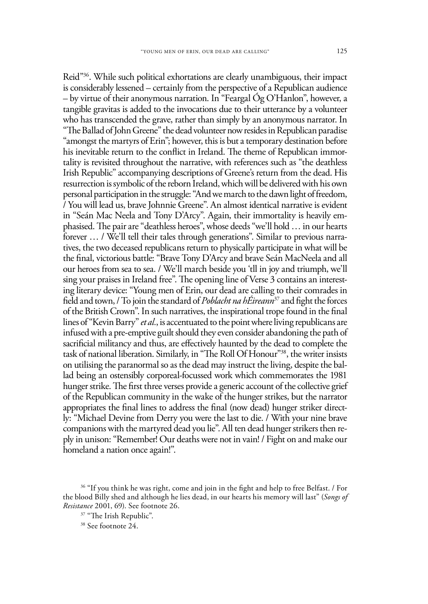Reid"36. While such political exhortations are clearly unambiguous, their impact is considerably lessened – certainly from the perspective of a Republican audience – by virtue of their anonymous narration. In "Feargal Óg O'Hanlon", however, a tangible gravitas is added to the invocations due to their utterance by a volunteer who has transcended the grave, rather than simply by an anonymous narrator. In "The Ballad of John Greene" the dead volunteer now resides in Republican paradise "amongst the martyrs of Erin"; however, this is but a temporary destination before his inevitable return to the conflict in Ireland. The theme of Republican immortality is revisited throughout the narrative, with references such as "the deathless Irish Republic" accompanying descriptions of Greene's return from the dead. His resurrection is symbolic of the reborn Ireland, which will be delivered with his own personal participation in the struggle: "And we march to the dawn light of freedom, / You will lead us, brave Johnnie Greene". An almost identical narrative is evident in "Seán Mac Neela and Tony D'Arcy". Again, their immortality is heavily emphasised. The pair are "deathless heroes", whose deeds "we'll hold … in our hearts forever … / We'll tell their tales through generations". Similar to previous narratives, the two deceased republicans return to physically participate in what will be the final, victorious battle: "Brave Tony D'Arcy and brave Seán MacNeela and all our heroes from sea to sea. / We'll march beside you 'tll in joy and triumph, we'll sing your praises in Ireland free". The opening line of Verse 3 contains an interesting literary device: "Young men of Erin, our dead are calling to their comrades in field and town, / To join the standard of *Poblacht na hÉireann*<sup>37</sup> and fight the forces of the British Crown". In such narratives, the inspirational trope found in the final lines of "Kevin Barry" *et al.*, is accentuated to the point where living republicans are infused with a pre-emptive guilt should they even consider abandoning the path of sacrificial militancy and thus, are effectively haunted by the dead to complete the task of national liberation. Similarly, in "The Roll Of Honour"38, the writer insists on utilising the paranormal so as the dead may instruct the living, despite the ballad being an ostensibly corporeal-focussed work which commemorates the 1981 hunger strike. The first three verses provide a generic account of the collective grief of the Republican community in the wake of the hunger strikes, but the narrator appropriates the final lines to address the final (now dead) hunger striker directly: "Michael Devine from Derry you were the last to die. / With your nine brave companions with the martyred dead you lie". All ten dead hunger strikers then reply in unison: "Remember! Our deaths were not in vain! / Fight on and make our homeland a nation once again!".

<sup>&</sup>lt;sup>36</sup> "If you think he was right, come and join in the fight and help to free Belfast. / For the blood Billy shed and although he lies dead, in our hearts his memory will last" (*Songs of Resistance* 2001, 69). See footnote 26.

<sup>&</sup>lt;sup>37</sup> "The Irish Republic".

<sup>&</sup>lt;sup>38</sup> See footnote 24.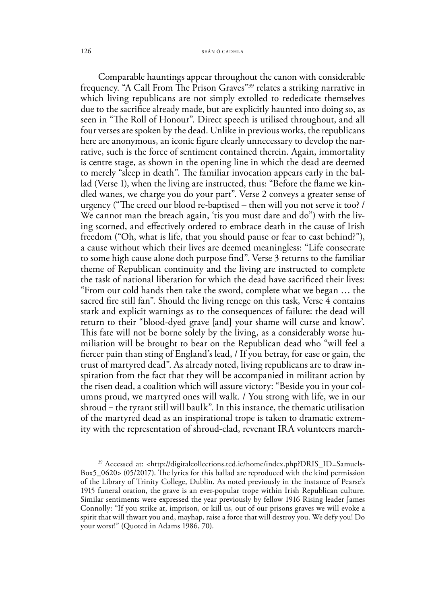Comparable hauntings appear throughout the canon with considerable frequency. "A Call From The Prison Graves"39 relates a striking narrative in which living republicans are not simply extolled to rededicate themselves due to the sacrifice already made, but are explicitly haunted into doing so, as seen in "The Roll of Honour". Direct speech is utilised throughout, and all four verses are spoken by the dead. Unlike in previous works, the republicans here are anonymous, an iconic figure clearly unnecessary to develop the narrative, such is the force of sentiment contained therein. Again, immortality is centre stage, as shown in the opening line in which the dead are deemed to merely "sleep in death". The familiar invocation appears early in the ballad (Verse 1), when the living are instructed, thus: "Before the flame we kindled wanes, we charge you do your part". Verse 2 conveys a greater sense of urgency ("The creed our blood re-baptised – then will you not serve it too? / We cannot man the breach again, 'tis you must dare and do") with the living scorned, and effectively ordered to embrace death in the cause of Irish freedom ("Oh, what is life, that you should pause or fear to cast behind?"), a cause without which their lives are deemed meaningless: "Life consecrate to some high cause alone doth purpose find". Verse 3 returns to the familiar theme of Republican continuity and the living are instructed to complete the task of national liberation for which the dead have sacrificed their lives: "From our cold hands then take the sword, complete what we began … the sacred fire still fan". Should the living renege on this task, Verse 4 contains stark and explicit warnings as to the consequences of failure: the dead will return to their "blood-dyed grave [and] your shame will curse and know'. This fate will not be borne solely by the living, as a considerably worse humiliation will be brought to bear on the Republican dead who "will feel a fiercer pain than sting of England's lead, / If you betray, for ease or gain, the trust of martyred dead". As already noted, living republicans are to draw inspiration from the fact that they will be accompanied in militant action by the risen dead, a coalition which will assure victory: "Beside you in your columns proud, we martyred ones will walk. / You strong with life, we in our  $shroud - the tyrant still will baulk".$  In this instance, the thematic utilisation of the martyred dead as an inspirational trope is taken to dramatic extremity with the representation of shroud-clad, revenant IRA volunteers march-

39 Accessed at: <http://digitalcollections.tcd.ie/home/index.php?DRIS\_ID=Samuels-Box5\_0620> (05/2017). The lyrics for this ballad are reproduced with the kind permission of the Library of Trinity College, Dublin. As noted previously in the instance of Pearse's 1915 funeral oration, the grave is an ever-popular trope within Irish Republican culture. Similar sentiments were expressed the year previously by fellow 1916 Rising leader James Connolly: "If you strike at, imprison, or kill us, out of our prisons graves we will evoke a spirit that will thwart you and, mayhap, raise a force that will destroy you. We defy you! Do your worst!" (Quoted in Adams 1986, 70).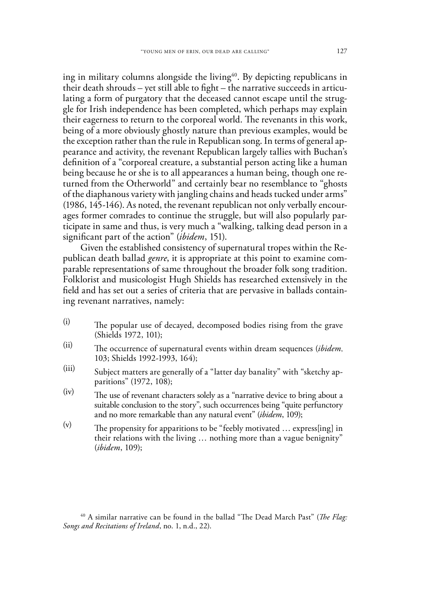ing in military columns alongside the living<sup> $40$ </sup>. By depicting republicans in their death shrouds – yet still able to fight – the narrative succeeds in articulating a form of purgatory that the deceased cannot escape until the struggle for Irish independence has been completed, which perhaps may explain their eagerness to return to the corporeal world. The revenants in this work, being of a more obviously ghostly nature than previous examples, would be the exception rather than the rule in Republican song. In terms of general appearance and activity, the revenant Republican largely tallies with Buchan's definition of a "corporeal creature, a substantial person acting like a human being because he or she is to all appearances a human being, though one returned from the Otherworld" and certainly bear no resemblance to "ghosts of the diaphanous variety with jangling chains and heads tucked under arms" (1986, 145-146). As noted, the revenant republican not only verbally encourages former comrades to continue the struggle, but will also popularly participate in same and thus, is very much a "walking, talking dead person in a significant part of the action" (*ibidem*, 151).

Given the established consistency of supernatural tropes within the Republican death ballad *genre*, it is appropriate at this point to examine comparable representations of same throughout the broader folk song tradition. Folklorist and musicologist Hugh Shields has researched extensively in the field and has set out a series of criteria that are pervasive in ballads containing revenant narratives, namely:

- (i) The popular use of decayed, decomposed bodies rising from the grave (Shields 1972, 101);
- (ii) The occurrence of supernatural events within dream sequences (*ibidem*, 103; Shields 1992-1993, 164);
- (iii) Subject matters are generally of a "latter day banality" with "sketchy apparitions" (1972, 108);
- (iv) The use of revenant characters solely as a "narrative device to bring about a suitable conclusion to the story", such occurrences being "quite perfunctory and no more remarkable than any natural event" (*ibidem*, 109);
- $(v)$  The propensity for apparitions to be "feebly motivated ... express[ing] in their relations with the living … nothing more than a vague benignity" (*ibidem*, 109);

<sup>40</sup> A similar narrative can be found in the ballad "The Dead March Past" (*The Flag: Songs and Recitations of Ireland*, no. 1, n.d., 22).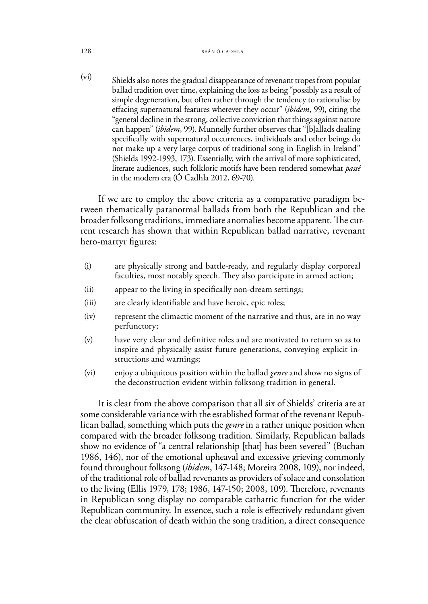128 SEÁN Ó CADHLA

(vi) Shields also notes the gradual disappearance of revenant tropes from popular ballad tradition over time, explaining the loss as being "possibly as a result of simple degeneration, but often rather through the tendency to rationalise by effacing supernatural features wherever they occur" (*ibidem*, 99), citing the "general decline in the strong, collective conviction that things against nature can happen" (*ibidem*, 99). Munnelly further observes that "[b]allads dealing specifically with supernatural occurrences, individuals and other beings do not make up a very large corpus of traditional song in English in Ireland" (Shields 1992-1993, 173). Essentially, with the arrival of more sophisticated, literate audiences, such folkloric motifs have been rendered somewhat *passé*  in the modern era (Ó Cadhla 2012, 69-70).

If we are to employ the above criteria as a comparative paradigm between thematically paranormal ballads from both the Republican and the broader folksong traditions, immediate anomalies become apparent. The current research has shown that within Republican ballad narrative, revenant hero-martyr figures:

- (i) are physically strong and battle-ready, and regularly display corporeal faculties, most notably speech. They also participate in armed action;
- (ii) appear to the living in specifically non-dream settings;
- (iii) are clearly identifiable and have heroic, epic roles;
- (iv) represent the climactic moment of the narrative and thus, are in no way perfunctory;
- (v) have very clear and definitive roles and are motivated to return so as to inspire and physically assist future generations, conveying explicit instructions and warnings;
- (vi) enjoy a ubiquitous position within the ballad *genre* and show no signs of the deconstruction evident within folksong tradition in general.

It is clear from the above comparison that all six of Shields' criteria are at some considerable variance with the established format of the revenant Republican ballad, something which puts the *genre* in a rather unique position when compared with the broader folksong tradition. Similarly, Republican ballads show no evidence of "a central relationship [that] has been severed" (Buchan 1986, 146), nor of the emotional upheaval and excessive grieving commonly found throughout folksong (*ibidem*, 147-148; Moreira 2008, 109), nor indeed, of the traditional role of ballad revenants as providers of solace and consolation to the living (Ellis 1979, 178; 1986, 147-150; 2008, 109). Therefore, revenants in Republican song display no comparable cathartic function for the wider Republican community. In essence, such a role is effectively redundant given the clear obfuscation of death within the song tradition, a direct consequence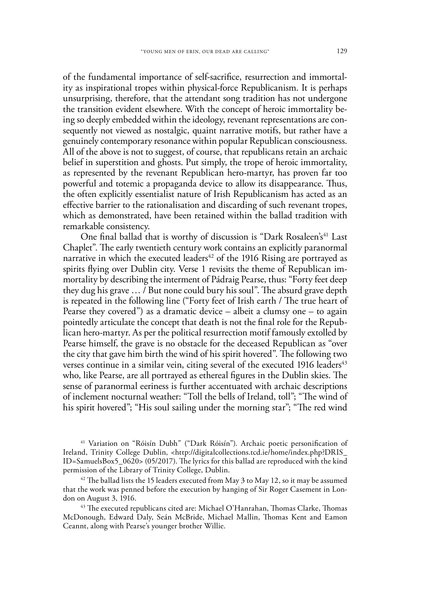of the fundamental importance of self-sacrifice, resurrection and immortality as inspirational tropes within physical-force Republicanism. It is perhaps unsurprising, therefore, that the attendant song tradition has not undergone the transition evident elsewhere. With the concept of heroic immortality being so deeply embedded within the ideology, revenant representations are consequently not viewed as nostalgic, quaint narrative motifs, but rather have a genuinely contemporary resonance within popular Republican consciousness. All of the above is not to suggest, of course, that republicans retain an archaic belief in superstition and ghosts. Put simply, the trope of heroic immortality, as represented by the revenant Republican hero-martyr, has proven far too powerful and totemic a propaganda device to allow its disappearance. Thus, the often explicitly essentialist nature of Irish Republicanism has acted as an effective barrier to the rationalisation and discarding of such revenant tropes, which as demonstrated, have been retained within the ballad tradition with remarkable consistency.

One final ballad that is worthy of discussion is "Dark Rosaleen's<sup>41</sup> Last Chaplet". The early twentieth century work contains an explicitly paranormal narrative in which the executed leaders<sup> $42$ </sup> of the 1916 Rising are portrayed as spirits flying over Dublin city. Verse 1 revisits the theme of Republican immortality by describing the interment of Pádraig Pearse, thus: "Forty feet deep they dug his grave … / But none could bury his soul". The absurd grave depth is repeated in the following line ("Forty feet of Irish earth / The true heart of Pearse they covered") as a dramatic device  $-$  albeit a clumsy one  $-$  to again pointedly articulate the concept that death is not the final role for the Republican hero-martyr. As per the political resurrection motif famously extolled by Pearse himself, the grave is no obstacle for the deceased Republican as "over the city that gave him birth the wind of his spirit hovered". The following two verses continue in a similar vein, citing several of the executed 1916 leaders $43$ who, like Pearse, are all portrayed as ethereal figures in the Dublin skies. The sense of paranormal eeriness is further accentuated with archaic descriptions of inclement nocturnal weather: "Toll the bells of Ireland, toll"; "The wind of his spirit hovered"; "His soul sailing under the morning star"; "The red wind

41 Variation on "Róisín Dubh" ("Dark Róisín"). Archaic poetic personification of Ireland, Trinity College Dublin, <http://digitalcollections.tcd.ie/home/index.php?DRIS\_ ID=SamuelsBox5\_0620> (05/2017). The lyrics for this ballad are reproduced with the kind permission of the Library of Trinity College, Dublin.

 $42$  The ballad lists the 15 leaders executed from May 3 to May 12, so it may be assumed that the work was penned before the execution by hanging of Sir Roger Casement in London on August 3, 1916.

43 The executed republicans cited are: Michael O'Hanrahan, Thomas Clarke, Thomas McDonough, Edward Daly, Seán McBride, Michael Mallin, Thomas Kent and Eamon Ceannt, along with Pearse's younger brother Willie.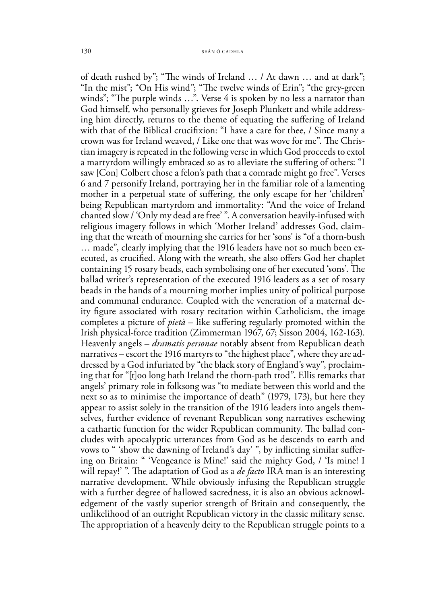of death rushed by"; "The winds of Ireland … / At dawn … and at dark"; "In the mist"; "On His wind"; "The twelve winds of Erin"; "the grey-green winds"; "The purple winds ...". Verse 4 is spoken by no less a narrator than God himself, who personally grieves for Joseph Plunkett and while addressing him directly, returns to the theme of equating the suffering of Ireland with that of the Biblical crucifixion: "I have a care for thee, / Since many a crown was for Ireland weaved, / Like one that was wove for me". The Christian imagery is repeated in the following verse in which God proceeds to extol a martyrdom willingly embraced so as to alleviate the suffering of others: "I saw [Con] Colbert chose a felon's path that a comrade might go free". Verses 6 and 7 personify Ireland, portraying her in the familiar role of a lamenting mother in a perpetual state of suffering, the only escape for her 'children' being Republican martyrdom and immortality: "And the voice of Ireland chanted slow / 'Only my dead are free' ". A conversation heavily-infused with religious imagery follows in which 'Mother Ireland' addresses God, claiming that the wreath of mourning she carries for her 'sons' is "of a thorn-bush … made", clearly implying that the 1916 leaders have not so much been executed, as crucified. Along with the wreath, she also offers God her chaplet containing 15 rosary beads, each symbolising one of her executed 'sons'. The ballad writer's representation of the executed 1916 leaders as a set of rosary beads in the hands of a mourning mother implies unity of political purpose and communal endurance. Coupled with the veneration of a maternal deity figure associated with rosary recitation within Catholicism, the image completes a picture of *pietà* – like suffering regularly promoted within the Irish physical-force tradition (Zimmerman 1967, 67; Sisson 2004, 162-163). Heavenly angels – *dramatis personae* notably absent from Republican death narratives – escort the 1916 martyrs to "the highest place", where they are addressed by a God infuriated by "the black story of England's way", proclaiming that for "[t]oo long hath Ireland the thorn-path trod". Ellis remarks that angels' primary role in folksong was "to mediate between this world and the next so as to minimise the importance of death" (1979, 173), but here they appear to assist solely in the transition of the 1916 leaders into angels themselves, further evidence of revenant Republican song narratives eschewing a cathartic function for the wider Republican community. The ballad concludes with apocalyptic utterances from God as he descends to earth and vows to " 'show the dawning of Ireland's day' ", by inflicting similar suffering on Britain: " 'Vengeance is Mine!' said the mighty God, / 'Is mine! I will repay!' ". The adaptation of God as a *de facto* IRA man is an interesting narrative development. While obviously infusing the Republican struggle with a further degree of hallowed sacredness, it is also an obvious acknowledgement of the vastly superior strength of Britain and consequently, the unlikelihood of an outright Republican victory in the classic military sense. The appropriation of a heavenly deity to the Republican struggle points to a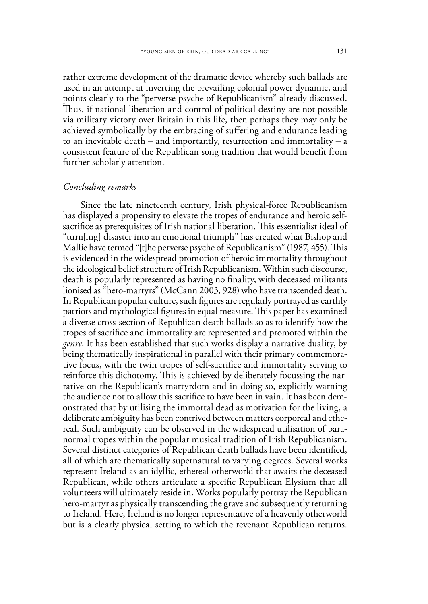rather extreme development of the dramatic device whereby such ballads are used in an attempt at inverting the prevailing colonial power dynamic, and points clearly to the "perverse psyche of Republicanism" already discussed. Thus, if national liberation and control of political destiny are not possible via military victory over Britain in this life, then perhaps they may only be achieved symbolically by the embracing of suffering and endurance leading to an inevitable death – and importantly, resurrection and immortality – a consistent feature of the Republican song tradition that would benefit from further scholarly attention.

#### *Concluding remarks*

Since the late nineteenth century, Irish physical-force Republicanism has displayed a propensity to elevate the tropes of endurance and heroic selfsacrifice as prerequisites of Irish national liberation. This essentialist ideal of "turn[ing] disaster into an emotional triumph" has created what Bishop and Mallie have termed "[t]he perverse psyche of Republicanism" (1987, 455). This is evidenced in the widespread promotion of heroic immortality throughout the ideological belief structure of Irish Republicanism. Within such discourse, death is popularly represented as having no finality, with deceased militants lionised as "hero-martyrs" (McCann 2003, 928) who have transcended death. In Republican popular culture, such figures are regularly portrayed as earthly patriots and mythological figures in equal measure. This paper has examined a diverse cross-section of Republican death ballads so as to identify how the tropes of sacrifice and immortality are represented and promoted within the *genre*. It has been established that such works display a narrative duality, by being thematically inspirational in parallel with their primary commemorative focus, with the twin tropes of self-sacrifice and immortality serving to reinforce this dichotomy. This is achieved by deliberately focussing the narrative on the Republican's martyrdom and in doing so, explicitly warning the audience not to allow this sacrifice to have been in vain. It has been demonstrated that by utilising the immortal dead as motivation for the living, a deliberate ambiguity has been contrived between matters corporeal and ethereal. Such ambiguity can be observed in the widespread utilisation of paranormal tropes within the popular musical tradition of Irish Republicanism. Several distinct categories of Republican death ballads have been identified, all of which are thematically supernatural to varying degrees. Several works represent Ireland as an idyllic, ethereal otherworld that awaits the deceased Republican, while others articulate a specific Republican Elysium that all volunteers will ultimately reside in. Works popularly portray the Republican hero-martyr as physically transcending the grave and subsequently returning to Ireland. Here, Ireland is no longer representative of a heavenly otherworld but is a clearly physical setting to which the revenant Republican returns.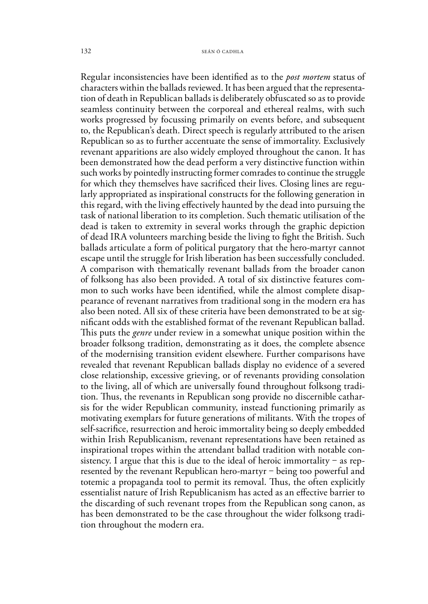Regular inconsistencies have been identified as to the *post mortem* status of characters within the ballads reviewed. It has been argued that the representation of death in Republican ballads is deliberately obfuscated so as to provide seamless continuity between the corporeal and ethereal realms, with such works progressed by focussing primarily on events before, and subsequent to, the Republican's death. Direct speech is regularly attributed to the arisen Republican so as to further accentuate the sense of immortality. Exclusively revenant apparitions are also widely employed throughout the canon. It has been demonstrated how the dead perform a very distinctive function within such works by pointedly instructing former comrades to continue the struggle for which they themselves have sacrificed their lives. Closing lines are regularly appropriated as inspirational constructs for the following generation in this regard, with the living effectively haunted by the dead into pursuing the task of national liberation to its completion. Such thematic utilisation of the dead is taken to extremity in several works through the graphic depiction of dead IRA volunteers marching beside the living to fight the British. Such ballads articulate a form of political purgatory that the hero-martyr cannot escape until the struggle for Irish liberation has been successfully concluded. A comparison with thematically revenant ballads from the broader canon of folksong has also been provided. A total of six distinctive features common to such works have been identified, while the almost complete disappearance of revenant narratives from traditional song in the modern era has also been noted. All six of these criteria have been demonstrated to be at significant odds with the established format of the revenant Republican ballad. This puts the *genre* under review in a somewhat unique position within the broader folksong tradition, demonstrating as it does, the complete absence of the modernising transition evident elsewhere. Further comparisons have revealed that revenant Republican ballads display no evidence of a severed close relationship, excessive grieving, or of revenants providing consolation to the living, all of which are universally found throughout folksong tradition. Thus, the revenants in Republican song provide no discernible catharsis for the wider Republican community, instead functioning primarily as motivating exemplars for future generations of militants. With the tropes of self-sacrifice, resurrection and heroic immortality being so deeply embedded within Irish Republicanism, revenant representations have been retained as inspirational tropes within the attendant ballad tradition with notable consistency. I argue that this is due to the ideal of heroic immortality  $-$  as represented by the revenant Republican hero-martyr  $-$  being too powerful and totemic a propaganda tool to permit its removal. Thus, the often explicitly essentialist nature of Irish Republicanism has acted as an effective barrier to the discarding of such revenant tropes from the Republican song canon, as has been demonstrated to be the case throughout the wider folksong tradition throughout the modern era.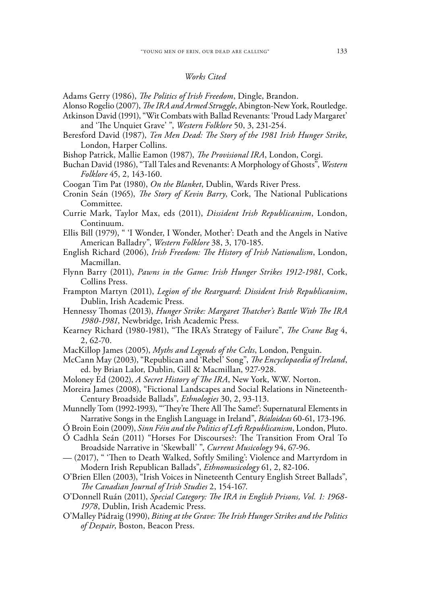#### *Works Cited*

Adams Gerry (1986), *The Politics of Irish Freedom*, Dingle, Brandon.

- Alonso Rogelio (2007), *The IRA and Armed Struggle*, Abington-New York, Routledge.
- Atkinson David (1991), "Wit Combats with Ballad Revenants: 'Proud Lady Margaret' and 'The Unquiet Grave' ", *Western Folklore* 50, 3, 231-254.
- Beresford David (1987), *Ten Men Dead: The Story of the 1981 Irish Hunger Strike*, London, Harper Collins.
- Bishop Patrick, Mallie Eamon (1987), *The Provisional IRA*, London, Corgi.
- Buchan David (1986), "Tall Tales and Revenants: A Morphology of Ghosts", *Western Folklore* 45, 2, 143-160.
- Coogan Tim Pat (1980), *On the Blanket*, Dublin, Wards River Press.
- Cronin Seán (1965), *The Story of Kevin Barry*, Cork, The National Publications Committee.
- Currie Mark, Taylor Max, eds (2011), *Dissident Irish Republicanism*, London, Continuum.
- Ellis Bill (1979), " 'I Wonder, I Wonder, Mother': Death and the Angels in Native American Balladry", *Western Folklore* 38, 3, 170-185.
- English Richard (2006), *Irish Freedom: The History of Irish Nationalism*, London, Macmillan.
- Flynn Barry (2011), *Pawns in the Game: Irish Hunger Strikes 1912-1981*, Cork, Collins Press.
- Frampton Martyn (2011), *Legion of the Rearguard*: *Dissident Irish Republicanism*, Dublin, Irish Academic Press.
- Hennessy Thomas (2013), *Hunger Strike: Margaret Thatcher's Battle With The IRA 1980-1981*, Newbridge, Irish Academic Press.
- Kearney Richard (1980-1981), "The IRA's Strategy of Failure", *The Crane Bag* 4, 2, 62-70.
- MacKillop James (2005), *Myths and Legends of the Celts*, London, Penguin.
- McCann May (2003), "Republican and 'Rebel' Song", *The Encyclopaedia of Ireland*, ed. by Brian Lalor, Dublin, Gill & Macmillan, 927-928.
- Moloney Ed (2002), *A Secret History of The IRA*, New York, W.W. Norton.
- Moreira James (2008), "Fictional Landscapes and Social Relations in Nineteenth-Century Broadside Ballads", *Ethnologies* 30, 2, 93-113.
- Munnelly Tom (1992-1993), "'They're There All The Same!': Supernatural Elements in Narrative Songs in the English Language in Ireland", *Béaloideas* 60-61, 173-196.
- Ó Broin Eoin (2009), *Sinn Féin and the Politics of Left Republicanism*, London, Pluto.
- Ó Cadhla Seán (2011) "Horses For Discourses?: The Transition From Oral To Broadside Narrative in 'Skewball' ", *Current Musicology* 94, 67-96.
- (2017), " 'Then to Death Walked, Softly Smiling': Violence and Martyrdom in Modern Irish Republican Ballads", *Ethnomusicology* 61, 2, 82-106.
- O'Brien Ellen (2003), "Irish Voices in Nineteenth Century English Street Ballads", *The Canadian Journal of Irish Studies* 2, 154-167.
- O'Donnell Ruán (2011), *Special Category: The IRA in English Prisons, Vol. 1: 1968- 1978*, Dublin, Irish Academic Press.
- O'Malley Pádraig (1990), *Biting at the Grave: The Irish Hunger Strikes and the Politics of Despair*, Boston, Beacon Press.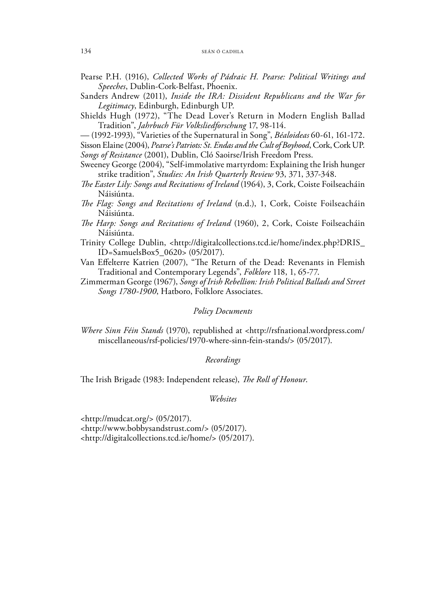- Pearse P.H. (1916), *Collected Works of Pádraic H. Pearse: Political Writings and Speeches*, Dublin-Cork-Belfast, Phoenix.
- Sanders Andrew (2011), *Inside the IRA: Dissident Republicans and the War for Legitimacy*, Edinburgh, Edinburgh UP.
- Shields Hugh (1972), "The Dead Lover's Return in Modern English Ballad Tradition", *Jahrbuch Für Volksliedforschung* 17, 98-114.
- (1992-1993), "Varieties of the Supernatural in Song", *Béaloideas* 60-61, 161-172.
- Sisson Elaine (2004), *Pearse's Patriots: St. Endas and the Cult of Boyhood*, Cork, Cork UP.

*Songs of Resistance* (2001), Dublin, Cló Saoirse/Irish Freedom Press.

- Sweeney George (2004), "Self-immolative martyrdom: Explaining the Irish hunger strike tradition", *Studies: An Irish Quarterly Review* 93, 371, 337-348.
- *The Easter Lily: Songs and Recitations of Ireland* (1964), 3, Cork, Coiste Foilseacháin Náisiúnta.
- *The Flag: Songs and Recitations of Ireland* (n.d.), 1, Cork, Coiste Foilseacháin Náisiúnta.
- *The Harp: Songs and Recitations of Ireland* (1960), 2, Cork, Coiste Foilseacháin Náisiúnta.
- Trinity College Dublin, <http://digitalcollections.tcd.ie/home/index.php?DRIS\_ ID=SamuelsBox5\_0620> (05/2017).
- Van Effelterre Katrien (2007), "The Return of the Dead: Revenants in Flemish Traditional and Contemporary Legends", *Folklore* 118, 1, 65-77.
- Zimmerman George (1967), *Songs of Irish Rebellion: Irish Political Ballads and Street Songs 1780-1900*, Hatboro, Folklore Associates.

#### *Policy Documents*

*Where Sinn Féin Stands* (1970), republished at <http://rsfnational.wordpress.com/ miscellaneous/rsf-policies/1970-where-sinn-fein-stands/> (05/2017).

## *Recordings*

The Irish Brigade (1983: Independent release), *The Roll of Honour*.

### *Websites*

<http://mudcat.org/> (05/2017). <http://www.bobbysandstrust.com/> (05/2017). <http://digitalcollections.tcd.ie/home/> (05/2017).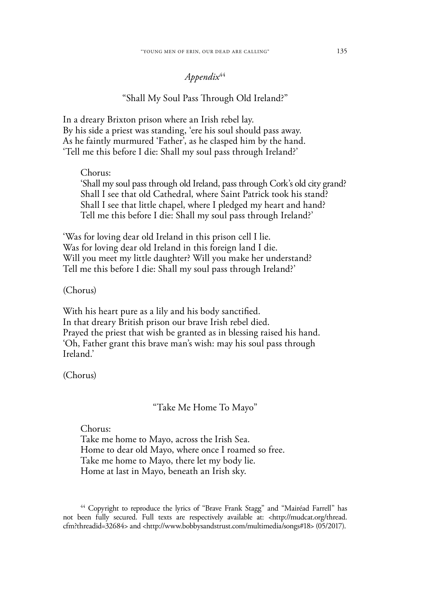*Appendix*<sup>44</sup>

## "Shall My Soul Pass Through Old Ireland?"

In a dreary Brixton prison where an Irish rebel lay. By his side a priest was standing, 'ere his soul should pass away. As he faintly murmured 'Father', as he clasped him by the hand. 'Tell me this before I die: Shall my soul pass through Ireland?'

Chorus: 'Shall my soul pass through old Ireland, pass through Cork's old city grand? Shall I see that old Cathedral, where Saint Patrick took his stand? Shall I see that little chapel, where I pledged my heart and hand? Tell me this before I die: Shall my soul pass through Ireland?'

'Was for loving dear old Ireland in this prison cell I lie. Was for loving dear old Ireland in this foreign land I die. Will you meet my little daughter? Will you make her understand? Tell me this before I die: Shall my soul pass through Ireland?'

(Chorus)

With his heart pure as a lily and his body sanctified. In that dreary British prison our brave Irish rebel died. Prayed the priest that wish be granted as in blessing raised his hand. 'Oh, Father grant this brave man's wish: may his soul pass through Ireland.'

(Chorus)

## "Take Me Home To Mayo"

Chorus:

Take me home to Mayo, across the Irish Sea. Home to dear old Mayo, where once I roamed so free. Take me home to Mayo, there let my body lie. Home at last in Mayo, beneath an Irish sky.

<sup>&</sup>lt;sup>44</sup> Copyright to reproduce the lyrics of "Brave Frank Stagg" and "Mairéad Farrell" has not been fully secured. Full texts are respectively available at: <http://mudcat.org/thread. cfm?threadid=32684> and <http://www.bobbysandstrust.com/multimedia/songs#18> (05/2017).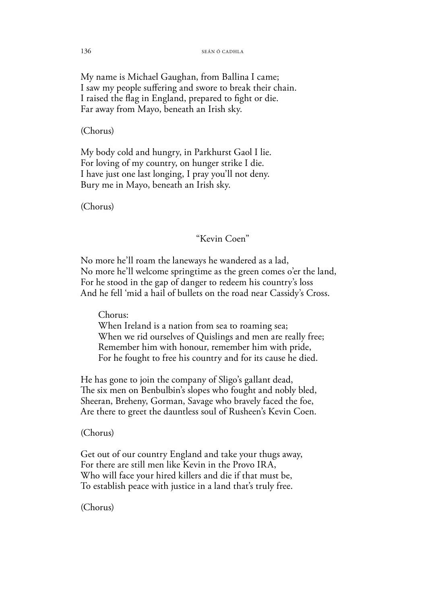My name is Michael Gaughan, from Ballina I came; I saw my people suffering and swore to break their chain. I raised the flag in England, prepared to fight or die. Far away from Mayo, beneath an Irish sky.

#### (Chorus)

My body cold and hungry, in Parkhurst Gaol I lie. For loving of my country, on hunger strike I die. I have just one last longing, I pray you'll not deny. Bury me in Mayo, beneath an Irish sky.

(Chorus)

## "Kevin Coen"

No more he'll roam the laneways he wandered as a lad, No more he'll welcome springtime as the green comes o'er the land, For he stood in the gap of danger to redeem his country's loss And he fell 'mid a hail of bullets on the road near Cassidy's Cross.

Chorus: When Ireland is a nation from sea to roaming sea; When we rid ourselves of Quislings and men are really free; Remember him with honour, remember him with pride, For he fought to free his country and for its cause he died.

He has gone to join the company of Sligo's gallant dead, The six men on Benbulbin's slopes who fought and nobly bled, Sheeran, Breheny, Gorman, Savage who bravely faced the foe, Are there to greet the dauntless soul of Rusheen's Kevin Coen.

#### (Chorus)

Get out of our country England and take your thugs away, For there are still men like Kevin in the Provo IRA, Who will face your hired killers and die if that must be, To establish peace with justice in a land that's truly free.

(Chorus)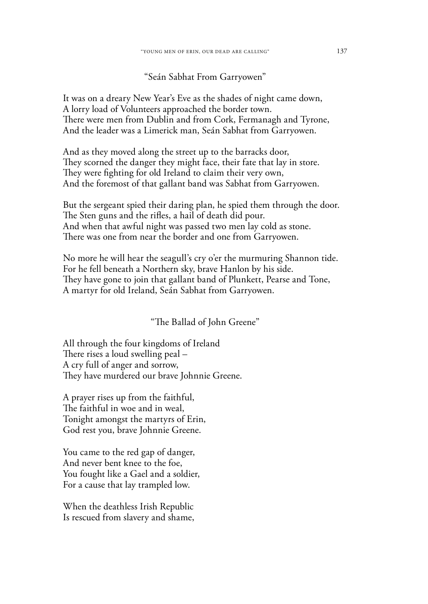## "Seán Sabhat From Garryowen"

It was on a dreary New Year's Eve as the shades of night came down, A lorry load of Volunteers approached the border town. There were men from Dublin and from Cork, Fermanagh and Tyrone, And the leader was a Limerick man, Seán Sabhat from Garryowen.

And as they moved along the street up to the barracks door, They scorned the danger they might face, their fate that lay in store. They were fighting for old Ireland to claim their very own, And the foremost of that gallant band was Sabhat from Garryowen.

But the sergeant spied their daring plan, he spied them through the door. The Sten guns and the rifles, a hail of death did pour. And when that awful night was passed two men lay cold as stone. There was one from near the border and one from Garryowen.

No more he will hear the seagull's cry o'er the murmuring Shannon tide. For he fell beneath a Northern sky, brave Hanlon by his side. They have gone to join that gallant band of Plunkett, Pearse and Tone, A martyr for old Ireland, Seán Sabhat from Garryowen.

## "The Ballad of John Greene"

All through the four kingdoms of Ireland There rises a loud swelling peal – A cry full of anger and sorrow, They have murdered our brave Johnnie Greene.

A prayer rises up from the faithful, The faithful in woe and in weal, Tonight amongst the martyrs of Erin, God rest you, brave Johnnie Greene.

You came to the red gap of danger, And never bent knee to the foe, You fought like a Gael and a soldier, For a cause that lay trampled low.

When the deathless Irish Republic Is rescued from slavery and shame,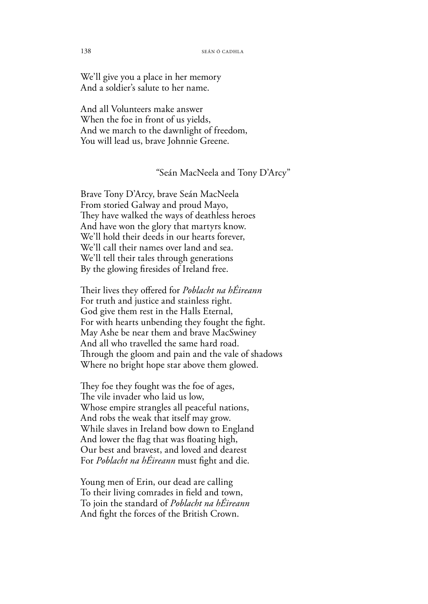We'll give you a place in her memory And a soldier's salute to her name.

And all Volunteers make answer When the foe in front of us yields, And we march to the dawnlight of freedom, You will lead us, brave Johnnie Greene.

## *"*Seán MacNeela and Tony D'Arcy"

Brave Tony D'Arcy, brave Seán MacNeela From storied Galway and proud Mayo, They have walked the ways of deathless heroes And have won the glory that martyrs know. We'll hold their deeds in our hearts forever, We'll call their names over land and sea. We'll tell their tales through generations By the glowing firesides of Ireland free.

Their lives they offered for *Poblacht na hÉireann* For truth and justice and stainless right. God give them rest in the Halls Eternal, For with hearts unbending they fought the fight. May Ashe be near them and brave MacSwiney And all who travelled the same hard road. Through the gloom and pain and the vale of shadows Where no bright hope star above them glowed.

They foe they fought was the foe of ages, The vile invader who laid us low, Whose empire strangles all peaceful nations, And robs the weak that itself may grow. While slaves in Ireland bow down to England And lower the flag that was floating high, Our best and bravest, and loved and dearest For *Poblacht na hÉireann* must fight and die.

Young men of Erin, our dead are calling To their living comrades in field and town, To join the standard of *Poblacht na hÉireann* And fight the forces of the British Crown.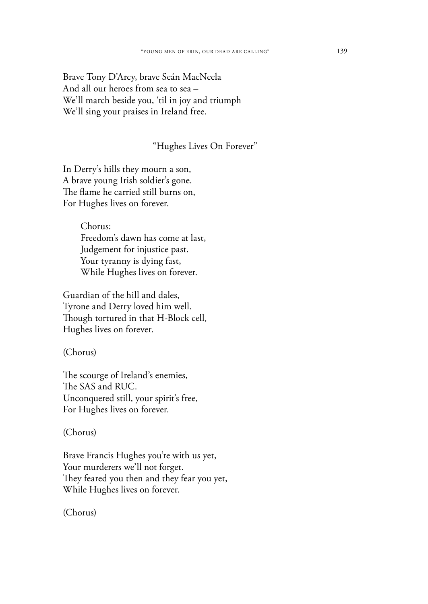Brave Tony D'Arcy, brave Seán MacNeela And all our heroes from sea to sea – We'll march beside you, 'til in joy and triumph We'll sing your praises in Ireland free.

## "Hughes Lives On Forever"

In Derry's hills they mourn a son, A brave young Irish soldier's gone. The flame he carried still burns on, For Hughes lives on forever.

> Chorus: Freedom's dawn has come at last, Judgement for injustice past. Your tyranny is dying fast, While Hughes lives on forever.

Guardian of the hill and dales, Tyrone and Derry loved him well. Though tortured in that H-Block cell, Hughes lives on forever.

### (Chorus)

The scourge of Ireland's enemies, The SAS and RUC. Unconquered still, your spirit's free, For Hughes lives on forever.

### (Chorus)

Brave Francis Hughes you're with us yet, Your murderers we'll not forget. They feared you then and they fear you yet, While Hughes lives on forever.

(Chorus)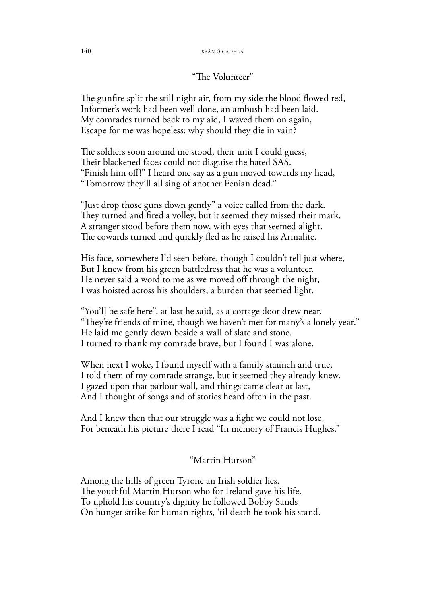#### 140 SEÁN Ó CADHLA

## "The Volunteer"

The gunfire split the still night air, from my side the blood flowed red, Informer's work had been well done, an ambush had been laid. My comrades turned back to my aid, I waved them on again, Escape for me was hopeless: why should they die in vain?

The soldiers soon around me stood, their unit I could guess, Their blackened faces could not disguise the hated SAS. "Finish him off!" I heard one say as a gun moved towards my head, "Tomorrow they'll all sing of another Fenian dead."

"Just drop those guns down gently" a voice called from the dark. They turned and fired a volley, but it seemed they missed their mark. A stranger stood before them now, with eyes that seemed alight. The cowards turned and quickly fled as he raised his Armalite.

His face, somewhere I'd seen before, though I couldn't tell just where, But I knew from his green battledress that he was a volunteer. He never said a word to me as we moved off through the night, I was hoisted across his shoulders, a burden that seemed light.

"You'll be safe here", at last he said, as a cottage door drew near. "They're friends of mine, though we haven't met for many's a lonely year." He laid me gently down beside a wall of slate and stone. I turned to thank my comrade brave, but I found I was alone.

When next I woke, I found myself with a family staunch and true, I told them of my comrade strange, but it seemed they already knew. I gazed upon that parlour wall, and things came clear at last, And I thought of songs and of stories heard often in the past.

And I knew then that our struggle was a fight we could not lose, For beneath his picture there I read "In memory of Francis Hughes."

## "Martin Hurson"

Among the hills of green Tyrone an Irish soldier lies. The youthful Martin Hurson who for Ireland gave his life. To uphold his country's dignity he followed Bobby Sands On hunger strike for human rights, 'til death he took his stand.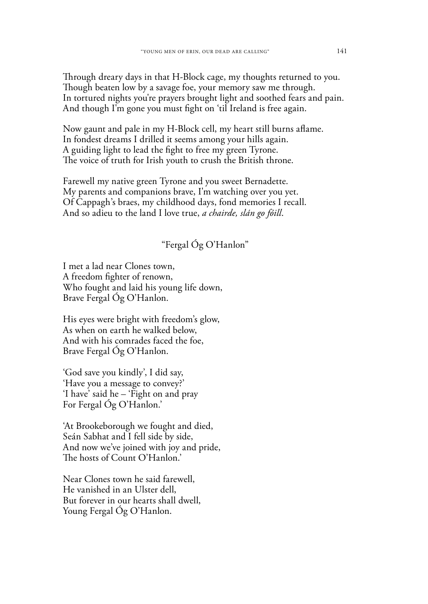Through dreary days in that H-Block cage, my thoughts returned to you. Though beaten low by a savage foe, your memory saw me through. In tortured nights you're prayers brought light and soothed fears and pain. And though I'm gone you must fight on 'til Ireland is free again.

Now gaunt and pale in my H-Block cell, my heart still burns aflame. In fondest dreams I drilled it seems among your hills again. A guiding light to lead the fight to free my green Tyrone. The voice of truth for Irish youth to crush the British throne.

Farewell my native green Tyrone and you sweet Bernadette. My parents and companions brave, I'm watching over you yet. Of Cappagh's braes, my childhood days, fond memories I recall. And so adieu to the land I love true, *a chairde, slán go fóill*.

## "Fergal Óg O'Hanlon"

I met a lad near Clones town, A freedom fighter of renown, Who fought and laid his young life down, Brave Fergal Óg O'Hanlon.

His eyes were bright with freedom's glow, As when on earth he walked below, And with his comrades faced the foe, Brave Fergal Óg O'Hanlon.

'God save you kindly', I did say, 'Have you a message to convey?' 'I have' said he – 'Fight on and pray For Fergal Óg O'Hanlon.'

'At Brookeborough we fought and died, Seán Sabhat and I fell side by side, And now we've joined with joy and pride, The hosts of Count O'Hanlon.'

Near Clones town he said farewell, He vanished in an Ulster dell, But forever in our hearts shall dwell, Young Fergal Óg O'Hanlon.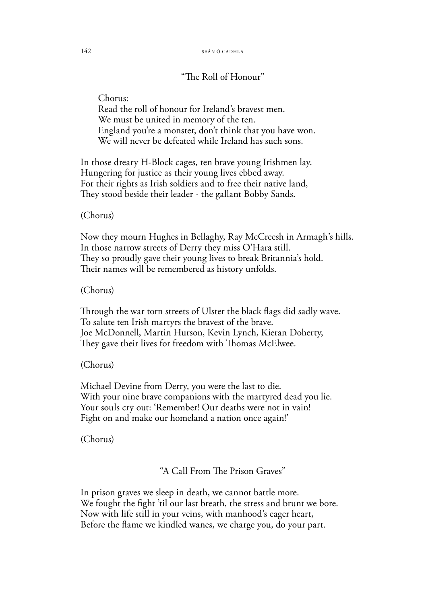## "The Roll of Honour"

Chorus: Read the roll of honour for Ireland's bravest men. We must be united in memory of the ten. England you're a monster, don't think that you have won. We will never be defeated while Ireland has such sons.

In those dreary H-Block cages, ten brave young Irishmen lay. Hungering for justice as their young lives ebbed away. For their rights as Irish soldiers and to free their native land, They stood beside their leader - the gallant Bobby Sands.

(Chorus)

Now they mourn Hughes in Bellaghy, Ray McCreesh in Armagh's hills. In those narrow streets of Derry they miss O'Hara still. They so proudly gave their young lives to break Britannia's hold. Their names will be remembered as history unfolds.

(Chorus)

Through the war torn streets of Ulster the black flags did sadly wave. To salute ten Irish martyrs the bravest of the brave. Joe McDonnell, Martin Hurson, Kevin Lynch, Kieran Doherty, They gave their lives for freedom with Thomas McElwee.

#### (Chorus)

Michael Devine from Derry, you were the last to die. With your nine brave companions with the martyred dead you lie. Your souls cry out: 'Remember! Our deaths were not in vain! Fight on and make our homeland a nation once again!'

(Chorus)

"A Call From The Prison Graves"

In prison graves we sleep in death, we cannot battle more. We fought the fight 'til our last breath, the stress and brunt we bore. Now with life still in your veins, with manhood's eager heart, Before the flame we kindled wanes, we charge you, do your part.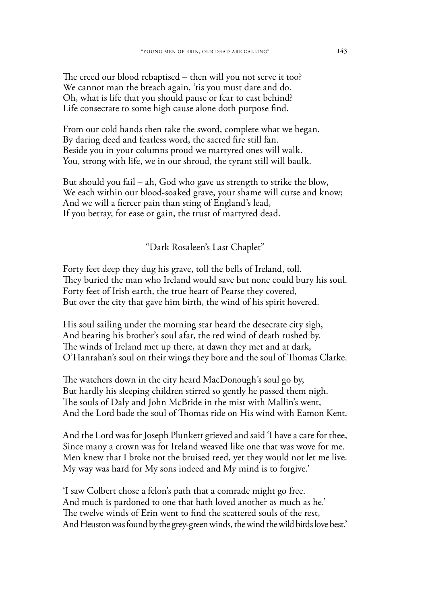The creed our blood rebaptised – then will you not serve it too? We cannot man the breach again, 'tis you must dare and do. Oh, what is life that you should pause or fear to cast behind? Life consecrate to some high cause alone doth purpose find.

From our cold hands then take the sword, complete what we began. By daring deed and fearless word, the sacred fire still fan. Beside you in your columns proud we martyred ones will walk. You, strong with life, we in our shroud, the tyrant still will baulk.

But should you fail – ah, God who gave us strength to strike the blow, We each within our blood-soaked grave, your shame will curse and know; And we will a fiercer pain than sting of England's lead, If you betray, for ease or gain, the trust of martyred dead.

## "Dark Rosaleen's Last Chaplet"

Forty feet deep they dug his grave, toll the bells of Ireland, toll. They buried the man who Ireland would save but none could bury his soul. Forty feet of Irish earth, the true heart of Pearse they covered, But over the city that gave him birth, the wind of his spirit hovered.

His soul sailing under the morning star heard the desecrate city sigh, And bearing his brother's soul afar, the red wind of death rushed by. The winds of Ireland met up there, at dawn they met and at dark, O'Hanrahan's soul on their wings they bore and the soul of Thomas Clarke.

The watchers down in the city heard MacDonough's soul go by, But hardly his sleeping children stirred so gently he passed them nigh. The souls of Daly and John McBride in the mist with Mallin's went, And the Lord bade the soul of Thomas ride on His wind with Eamon Kent.

And the Lord was for Joseph Plunkett grieved and said 'I have a care for thee, Since many a crown was for Ireland weaved like one that was wove for me. Men knew that I broke not the bruised reed, yet they would not let me live. My way was hard for My sons indeed and My mind is to forgive.'

'I saw Colbert chose a felon's path that a comrade might go free. And much is pardoned to one that hath loved another as much as he.' The twelve winds of Erin went to find the scattered souls of the rest, And Heuston was found by the grey-green winds, the wind the wild birds love best.'